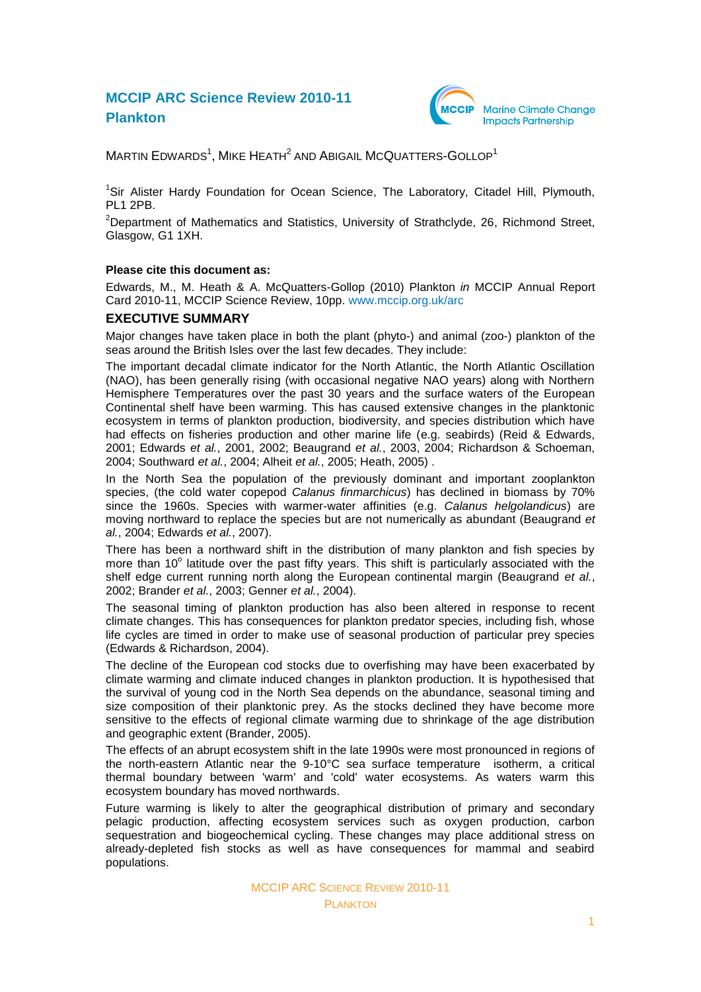# **MCCIP ARC Science Review 2010-11 Plankton**



 $M$ ARTIN EDWARDS $^1$ , MIKE HEATH $^2$  AND ABIGAIL MCQUATTERS-GOLLOP $^1$ 

<sup>1</sup>Sir Alister Hardy Foundation for Ocean Science, The Laboratory, Citadel Hill, Plymouth, PL1 2PB.

<sup>2</sup>Department of Mathematics and Statistics, University of Strathclyde, 26, Richmond Street, Glasgow, G1 1XH.

#### **Please cite this document as:**

Edwards, M., M. Heath & A. McQuatters-Gollop (2010) Plankton *in* MCCIP Annual Report Card 2010-11, MCCIP Science Review, 10pp. [www.mccip.org.uk/arc](http://www.mccip.org.uk/arc)

#### **EXECUTIVE SUMMARY**

Major changes have taken place in both the plant (phyto-) and animal (zoo-) plankton of the seas around the British Isles over the last few decades. They include:

The important decadal climate indicator for the North Atlantic, the North Atlantic Oscillation (NAO), has been generally rising (with occasional negative NAO years) along with Northern Hemisphere Temperatures over the past 30 years and the surface waters of the European Continental shelf have been warming. This has caused extensive changes in the planktonic ecosystem in terms of plankton production, biodiversity, and species distribution which have had effects on fisheries production and other marine life (e.g. seabirds) (Reid & Edwards, 2001; Edwards *et al.*, 2001, 2002; Beaugrand *et al.*, 2003, 2004; Richardson & Schoeman, 2004; Southward *et al.*, 2004; Alheit *et al.*, 2005; Heath, 2005) .

In the North Sea the population of the previously dominant and important zooplankton species, (the cold water copepod *Calanus finmarchicus*) has declined in biomass by 70% since the 1960s. Species with warmer-water affinities (e.g. *Calanus helgolandicus*) are moving northward to replace the species but are not numerically as abundant (Beaugrand *et al.*, 2004; Edwards *et al.*, 2007).

There has been a northward shift in the distribution of many plankton and fish species by more than 10° latitude over the past fifty years. This shift is particularly associated with the shelf edge current running north along the European continental margin (Beaugrand *et al.*, 2002; Brander *et al.*, 2003; Genner *et al.*, 2004).

The seasonal timing of plankton production has also been altered in response to recent climate changes. This has consequences for plankton predator species, including fish, whose life cycles are timed in order to make use of seasonal production of particular prey species (Edwards & Richardson, 2004).

The decline of the European cod stocks due to overfishing may have been exacerbated by climate warming and climate induced changes in plankton production. It is hypothesised that the survival of young cod in the North Sea depends on the abundance, seasonal timing and size composition of their planktonic prey. As the stocks declined they have become more sensitive to the effects of regional climate warming due to shrinkage of the age distribution and geographic extent (Brander, 2005).

The effects of an abrupt ecosystem shift in the late 1990s were most pronounced in regions of the north-eastern Atlantic near the 9-10°C sea surface temperature isotherm, a critical thermal boundary between 'warm' and 'cold' water ecosystems. As waters warm this ecosystem boundary has moved northwards.

Future warming is likely to alter the geographical distribution of primary and secondary pelagic production, affecting ecosystem services such as oxygen production, carbon sequestration and biogeochemical cycling. These changes may place additional stress on already-depleted fish stocks as well as have consequences for mammal and seabird populations.

> MCCIP ARC SCIENCE REVIEW 2010-11 **PLANKTON**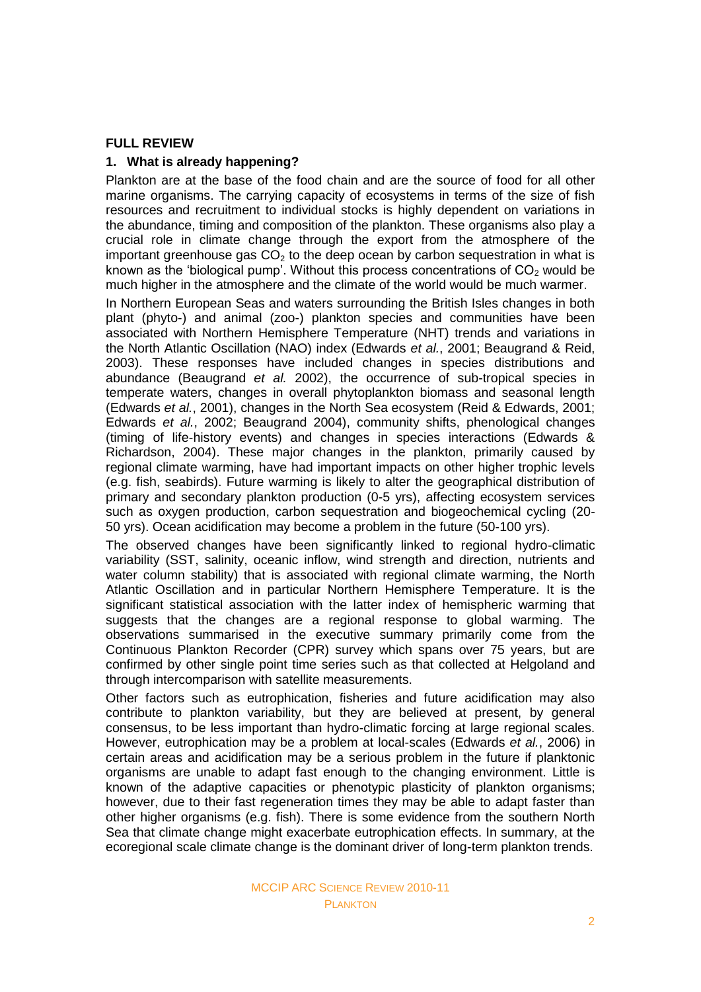## **FULL REVIEW**

### **1. What is already happening?**

Plankton are at the base of the food chain and are the source of food for all other marine organisms. The carrying capacity of ecosystems in terms of the size of fish resources and recruitment to individual stocks is highly dependent on variations in the abundance, timing and composition of the plankton. These organisms also play a crucial role in climate change through the export from the atmosphere of the important greenhouse gas  $CO<sub>2</sub>$  to the deep ocean by carbon sequestration in what is known as the 'biological pump'. Without this process concentrations of  $CO<sub>2</sub>$  would be much higher in the atmosphere and the climate of the world would be much warmer.

In Northern European Seas and waters surrounding the British Isles changes in both plant (phyto-) and animal (zoo-) plankton species and communities have been associated with Northern Hemisphere Temperature (NHT) trends and variations in the North Atlantic Oscillation (NAO) index (Edwards *et al.*, 2001; Beaugrand & Reid, 2003). These responses have included changes in species distributions and abundance (Beaugrand *et al.* 2002), the occurrence of sub-tropical species in temperate waters, changes in overall phytoplankton biomass and seasonal length (Edwards *et al.*, 2001), changes in the North Sea ecosystem (Reid & Edwards, 2001; Edwards *et al.*, 2002; Beaugrand 2004), community shifts, phenological changes (timing of life-history events) and changes in species interactions (Edwards & Richardson, 2004). These major changes in the plankton, primarily caused by regional climate warming, have had important impacts on other higher trophic levels (e.g. fish, seabirds). Future warming is likely to alter the geographical distribution of primary and secondary plankton production (0-5 yrs), affecting ecosystem services such as oxygen production, carbon sequestration and biogeochemical cycling (20- 50 yrs). Ocean acidification may become a problem in the future (50-100 yrs).

The observed changes have been significantly linked to regional hydro-climatic variability (SST, salinity, oceanic inflow, wind strength and direction, nutrients and water column stability) that is associated with regional climate warming, the North Atlantic Oscillation and in particular Northern Hemisphere Temperature. It is the significant statistical association with the latter index of hemispheric warming that suggests that the changes are a regional response to global warming. The observations summarised in the executive summary primarily come from the Continuous Plankton Recorder (CPR) survey which spans over 75 years, but are confirmed by other single point time series such as that collected at Helgoland and through intercomparison with satellite measurements.

Other factors such as eutrophication, fisheries and future acidification may also contribute to plankton variability, but they are believed at present, by general consensus, to be less important than hydro-climatic forcing at large regional scales. However, eutrophication may be a problem at local-scales (Edwards *et al.*, 2006) in certain areas and acidification may be a serious problem in the future if planktonic organisms are unable to adapt fast enough to the changing environment. Little is known of the adaptive capacities or phenotypic plasticity of plankton organisms; however, due to their fast regeneration times they may be able to adapt faster than other higher organisms (e.g. fish). There is some evidence from the southern North Sea that climate change might exacerbate eutrophication effects. In summary, at the ecoregional scale climate change is the dominant driver of long-term plankton trends.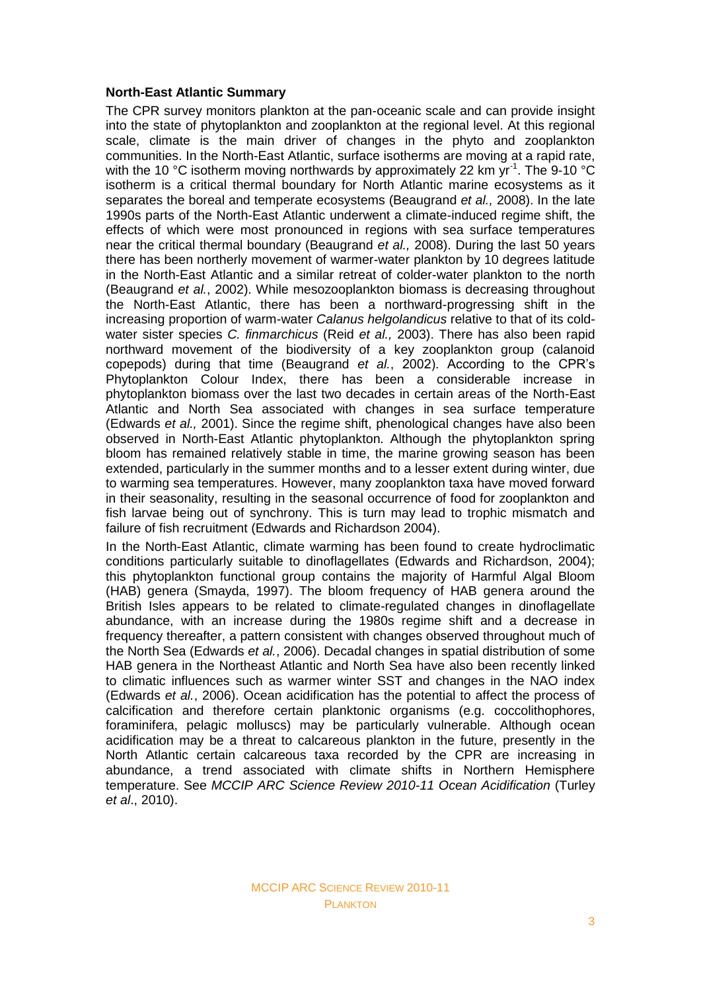### **North-East Atlantic Summary**

The CPR survey monitors plankton at the pan-oceanic scale and can provide insight into the state of phytoplankton and zooplankton at the regional level. At this regional scale, climate is the main driver of changes in the phyto and zooplankton communities. In the North-East Atlantic, surface isotherms are moving at a rapid rate, with the 10 °C isotherm moving northwards by approximately 22 km  $yr^{-1}$ . The 9-10 °C isotherm is a critical thermal boundary for North Atlantic marine ecosystems as it separates the boreal and temperate ecosystems (Beaugrand *et al.,* 2008). In the late 1990s parts of the North-East Atlantic underwent a climate-induced regime shift, the effects of which were most pronounced in regions with sea surface temperatures near the critical thermal boundary (Beaugrand *et al.,* 2008). During the last 50 years there has been northerly movement of warmer-water plankton by 10 degrees latitude in the North-East Atlantic and a similar retreat of colder-water plankton to the north (Beaugrand *et al.*, 2002). While mesozooplankton biomass is decreasing throughout the North-East Atlantic, there has been a northward-progressing shift in the increasing proportion of warm-water *Calanus helgolandicus* relative to that of its coldwater sister species *C. finmarchicus* (Reid *et al.,* 2003). There has also been rapid northward movement of the biodiversity of a key zooplankton group (calanoid copepods) during that time (Beaugrand *et al.*, 2002). According to the CPR's Phytoplankton Colour Index, there has been a considerable increase in phytoplankton biomass over the last two decades in certain areas of the North-East Atlantic and North Sea associated with changes in sea surface temperature (Edwards *et al.,* 2001). Since the regime shift, phenological changes have also been observed in North-East Atlantic phytoplankton. Although the phytoplankton spring bloom has remained relatively stable in time, the marine growing season has been extended, particularly in the summer months and to a lesser extent during winter, due to warming sea temperatures. However, many zooplankton taxa have moved forward in their seasonality, resulting in the seasonal occurrence of food for zooplankton and fish larvae being out of synchrony. This is turn may lead to trophic mismatch and failure of fish recruitment (Edwards and Richardson 2004).

In the North-East Atlantic, climate warming has been found to create hydroclimatic conditions particularly suitable to dinoflagellates (Edwards and Richardson, 2004); this phytoplankton functional group contains the majority of Harmful Algal Bloom (HAB) genera (Smayda, 1997). The bloom frequency of HAB genera around the British Isles appears to be related to climate-regulated changes in dinoflagellate abundance, with an increase during the 1980s regime shift and a decrease in frequency thereafter, a pattern consistent with changes observed throughout much of the North Sea (Edwards *et al.*, 2006). Decadal changes in spatial distribution of some HAB genera in the Northeast Atlantic and North Sea have also been recently linked to climatic influences such as warmer winter SST and changes in the NAO index (Edwards *et al.*, 2006). Ocean acidification has the potential to affect the process of calcification and therefore certain planktonic organisms (e.g. coccolithophores, foraminifera, pelagic molluscs) may be particularly vulnerable. Although ocean acidification may be a threat to calcareous plankton in the future, presently in the North Atlantic certain calcareous taxa recorded by the CPR are increasing in abundance, a trend associated with climate shifts in Northern Hemisphere temperature. See *MCCIP ARC Science Review 2010-11 Ocean Acidification* (Turley *et al*., 2010).

### MCCIP ARC SCIENCE REVIEW 2010-11 **PLANKTON**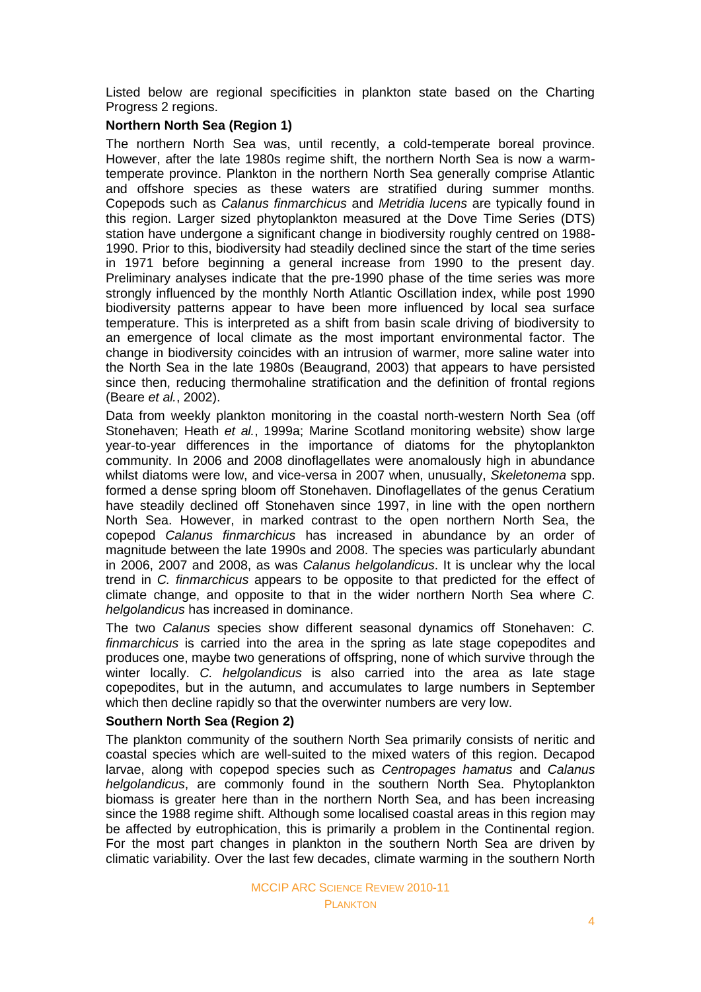Listed below are regional specificities in plankton state based on the Charting Progress 2 regions.

### **Northern North Sea (Region 1)**

The northern North Sea was, until recently, a cold-temperate boreal province. However, after the late 1980s regime shift, the northern North Sea is now a warmtemperate province. Plankton in the northern North Sea generally comprise Atlantic and offshore species as these waters are stratified during summer months. Copepods such as *Calanus finmarchicus* and *Metridia lucens* are typically found in this region. Larger sized phytoplankton measured at the Dove Time Series (DTS) station have undergone a significant change in biodiversity roughly centred on 1988- 1990. Prior to this, biodiversity had steadily declined since the start of the time series in 1971 before beginning a general increase from 1990 to the present day. Preliminary analyses indicate that the pre-1990 phase of the time series was more strongly influenced by the monthly North Atlantic Oscillation index, while post 1990 biodiversity patterns appear to have been more influenced by local sea surface temperature. This is interpreted as a shift from basin scale driving of biodiversity to an emergence of local climate as the most important environmental factor. The change in biodiversity coincides with an intrusion of warmer, more saline water into the North Sea in the late 1980s (Beaugrand, 2003) that appears to have persisted since then, reducing thermohaline stratification and the definition of frontal regions (Beare *et al.*, 2002).

Data from weekly plankton monitoring in the coastal north-western North Sea (off Stonehaven; Heath *et al.*, 1999a; Marine Scotland monitoring website) show large year-to-year differences in the importance of diatoms for the phytoplankton community. In 2006 and 2008 dinoflagellates were anomalously high in abundance whilst diatoms were low, and vice-versa in 2007 when, unusually, *Skeletonema* spp. formed a dense spring bloom off Stonehaven. Dinoflagellates of the genus Ceratium have steadily declined off Stonehaven since 1997, in line with the open northern North Sea. However, in marked contrast to the open northern North Sea, the copepod *Calanus finmarchicus* has increased in abundance by an order of magnitude between the late 1990s and 2008. The species was particularly abundant in 2006, 2007 and 2008, as was *Calanus helgolandicus*. It is unclear why the local trend in *C. finmarchicus* appears to be opposite to that predicted for the effect of climate change, and opposite to that in the wider northern North Sea where *C. helgolandicus* has increased in dominance.

The two *Calanus* species show different seasonal dynamics off Stonehaven: *C. finmarchicus* is carried into the area in the spring as late stage copepodites and produces one, maybe two generations of offspring, none of which survive through the winter locally. *C. helgolandicus* is also carried into the area as late stage copepodites, but in the autumn, and accumulates to large numbers in September which then decline rapidly so that the overwinter numbers are very low.

## **Southern North Sea (Region 2)**

The plankton community of the southern North Sea primarily consists of neritic and coastal species which are well-suited to the mixed waters of this region. Decapod larvae, along with copepod species such as *Centropages hamatus* and *Calanus helgolandicus*, are commonly found in the southern North Sea. Phytoplankton biomass is greater here than in the northern North Sea, and has been increasing since the 1988 regime shift. Although some localised coastal areas in this region may be affected by eutrophication, this is primarily a problem in the Continental region. For the most part changes in plankton in the southern North Sea are driven by climatic variability. Over the last few decades, climate warming in the southern North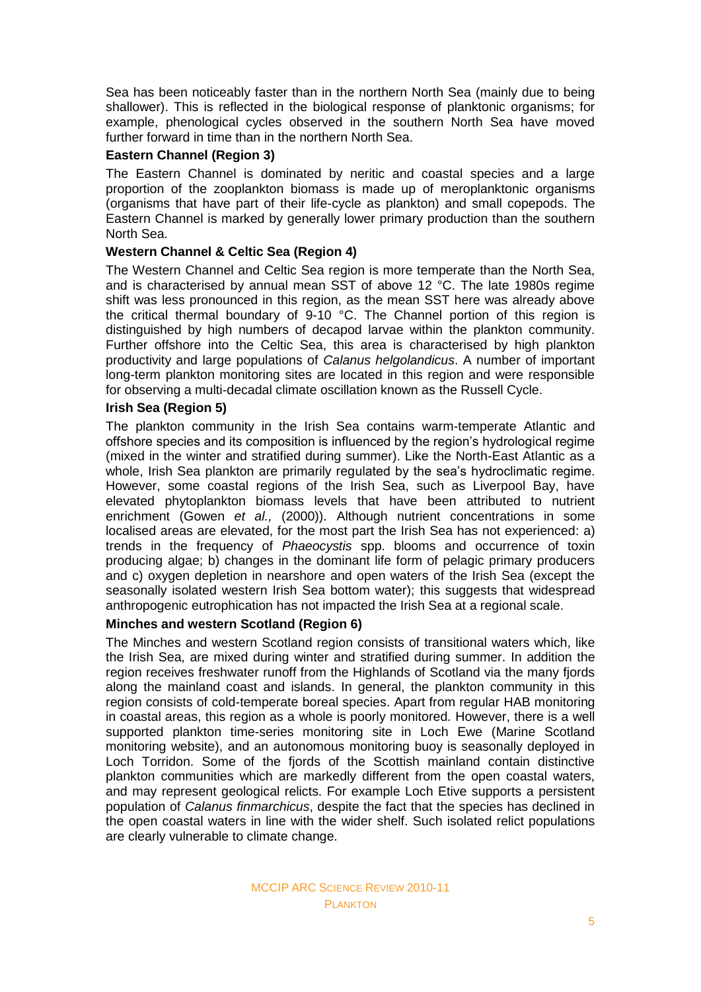Sea has been noticeably faster than in the northern North Sea (mainly due to being shallower). This is reflected in the biological response of planktonic organisms; for example, phenological cycles observed in the southern North Sea have moved further forward in time than in the northern North Sea.

## **Eastern Channel (Region 3)**

The Eastern Channel is dominated by neritic and coastal species and a large proportion of the zooplankton biomass is made up of meroplanktonic organisms (organisms that have part of their life-cycle as plankton) and small copepods. The Eastern Channel is marked by generally lower primary production than the southern North Sea.

## **Western Channel & Celtic Sea (Region 4)**

The Western Channel and Celtic Sea region is more temperate than the North Sea, and is characterised by annual mean SST of above 12 °C. The late 1980s regime shift was less pronounced in this region, as the mean SST here was already above the critical thermal boundary of 9-10 °C. The Channel portion of this region is distinguished by high numbers of decapod larvae within the plankton community. Further offshore into the Celtic Sea, this area is characterised by high plankton productivity and large populations of *Calanus helgolandicus*. A number of important long-term plankton monitoring sites are located in this region and were responsible for observing a multi-decadal climate oscillation known as the Russell Cycle.

## **Irish Sea (Region 5)**

The plankton community in the Irish Sea contains warm-temperate Atlantic and offshore species and its composition is influenced by the region's hydrological regime (mixed in the winter and stratified during summer). Like the North-East Atlantic as a whole, Irish Sea plankton are primarily regulated by the sea's hydroclimatic regime. However, some coastal regions of the Irish Sea, such as Liverpool Bay, have elevated phytoplankton biomass levels that have been attributed to nutrient enrichment (Gowen *et al.,* (2000)). Although nutrient concentrations in some localised areas are elevated, for the most part the Irish Sea has not experienced: a) trends in the frequency of *Phaeocystis* spp. blooms and occurrence of toxin producing algae; b) changes in the dominant life form of pelagic primary producers and c) oxygen depletion in nearshore and open waters of the Irish Sea (except the seasonally isolated western Irish Sea bottom water); this suggests that widespread anthropogenic eutrophication has not impacted the Irish Sea at a regional scale.

## **Minches and western Scotland (Region 6)**

The Minches and western Scotland region consists of transitional waters which, like the Irish Sea, are mixed during winter and stratified during summer. In addition the region receives freshwater runoff from the Highlands of Scotland via the many fjords along the mainland coast and islands. In general, the plankton community in this region consists of cold-temperate boreal species. Apart from regular HAB monitoring in coastal areas, this region as a whole is poorly monitored. However, there is a well supported plankton time-series monitoring site in Loch Ewe (Marine Scotland monitoring website), and an autonomous monitoring buoy is seasonally deployed in Loch Torridon. Some of the fjords of the Scottish mainland contain distinctive plankton communities which are markedly different from the open coastal waters, and may represent geological relicts. For example Loch Etive supports a persistent population of *Calanus finmarchicus*, despite the fact that the species has declined in the open coastal waters in line with the wider shelf. Such isolated relict populations are clearly vulnerable to climate change.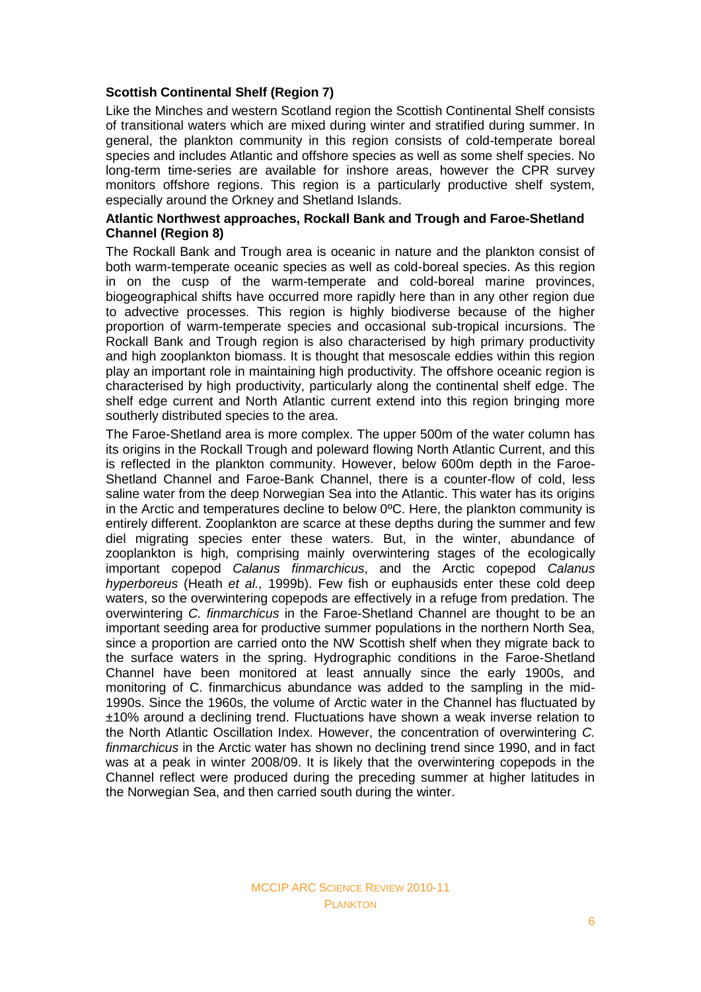## **Scottish Continental Shelf (Region 7)**

Like the Minches and western Scotland region the Scottish Continental Shelf consists of transitional waters which are mixed during winter and stratified during summer. In general, the plankton community in this region consists of cold-temperate boreal species and includes Atlantic and offshore species as well as some shelf species. No long-term time-series are available for inshore areas, however the CPR survey monitors offshore regions. This region is a particularly productive shelf system, especially around the Orkney and Shetland Islands.

## **Atlantic Northwest approaches, Rockall Bank and Trough and Faroe-Shetland Channel (Region 8)**

The Rockall Bank and Trough area is oceanic in nature and the plankton consist of both warm-temperate oceanic species as well as cold-boreal species. As this region in on the cusp of the warm-temperate and cold-boreal marine provinces, biogeographical shifts have occurred more rapidly here than in any other region due to advective processes. This region is highly biodiverse because of the higher proportion of warm-temperate species and occasional sub-tropical incursions. The Rockall Bank and Trough region is also characterised by high primary productivity and high zooplankton biomass. It is thought that mesoscale eddies within this region play an important role in maintaining high productivity. The offshore oceanic region is characterised by high productivity, particularly along the continental shelf edge. The shelf edge current and North Atlantic current extend into this region bringing more southerly distributed species to the area.

The Faroe-Shetland area is more complex. The upper 500m of the water column has its origins in the Rockall Trough and poleward flowing North Atlantic Current, and this is reflected in the plankton community. However, below 600m depth in the Faroe-Shetland Channel and Faroe-Bank Channel, there is a counter-flow of cold, less saline water from the deep Norwegian Sea into the Atlantic. This water has its origins in the Arctic and temperatures decline to below 0ºC. Here, the plankton community is entirely different. Zooplankton are scarce at these depths during the summer and few diel migrating species enter these waters. But, in the winter, abundance of zooplankton is high, comprising mainly overwintering stages of the ecologically important copepod *Calanus finmarchicus*, and the Arctic copepod *Calanus hyperboreus* (Heath *et al.,* 1999b). Few fish or euphausids enter these cold deep waters, so the overwintering copepods are effectively in a refuge from predation. The overwintering *C. finmarchicus* in the Faroe-Shetland Channel are thought to be an important seeding area for productive summer populations in the northern North Sea, since a proportion are carried onto the NW Scottish shelf when they migrate back to the surface waters in the spring. Hydrographic conditions in the Faroe-Shetland Channel have been monitored at least annually since the early 1900s, and monitoring of C. finmarchicus abundance was added to the sampling in the mid-1990s. Since the 1960s, the volume of Arctic water in the Channel has fluctuated by ±10% around a declining trend. Fluctuations have shown a weak inverse relation to the North Atlantic Oscillation Index. However, the concentration of overwintering *C. finmarchicus* in the Arctic water has shown no declining trend since 1990, and in fact was at a peak in winter 2008/09. It is likely that the overwintering copepods in the Channel reflect were produced during the preceding summer at higher latitudes in the Norwegian Sea, and then carried south during the winter.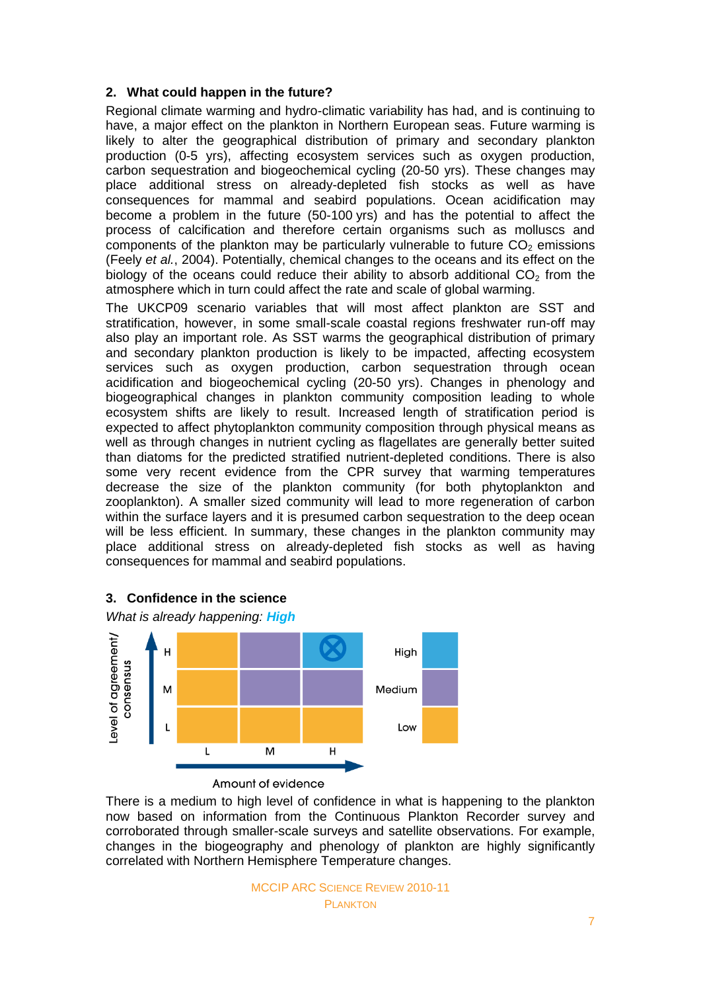## **2. What could happen in the future?**

Regional climate warming and hydro-climatic variability has had, and is continuing to have, a major effect on the plankton in Northern European seas. Future warming is likely to alter the geographical distribution of primary and secondary plankton production (0-5 yrs), affecting ecosystem services such as oxygen production, carbon sequestration and biogeochemical cycling (20-50 yrs). These changes may place additional stress on already-depleted fish stocks as well as have consequences for mammal and seabird populations. Ocean acidification may become a problem in the future (50-100 yrs) and has the potential to affect the process of calcification and therefore certain organisms such as molluscs and components of the plankton may be particularly vulnerable to future  $CO<sub>2</sub>$  emissions (Feely *et al.*, 2004). Potentially, chemical changes to the oceans and its effect on the biology of the oceans could reduce their ability to absorb additional  $CO<sub>2</sub>$  from the atmosphere which in turn could affect the rate and scale of global warming.

The UKCP09 scenario variables that will most affect plankton are SST and stratification, however, in some small-scale coastal regions freshwater run-off may also play an important role. As SST warms the geographical distribution of primary and secondary plankton production is likely to be impacted, affecting ecosystem services such as oxygen production, carbon sequestration through ocean acidification and biogeochemical cycling (20-50 yrs). Changes in phenology and biogeographical changes in plankton community composition leading to whole ecosystem shifts are likely to result. Increased length of stratification period is expected to affect phytoplankton community composition through physical means as well as through changes in nutrient cycling as flagellates are generally better suited than diatoms for the predicted stratified nutrient-depleted conditions. There is also some very recent evidence from the CPR survey that warming temperatures decrease the size of the plankton community (for both phytoplankton and zooplankton). A smaller sized community will lead to more regeneration of carbon within the surface layers and it is presumed carbon sequestration to the deep ocean will be less efficient. In summary, these changes in the plankton community may place additional stress on already-depleted fish stocks as well as having consequences for mammal and seabird populations.



## **3. Confidence in the science**

There is a medium to high level of confidence in what is happening to the plankton now based on information from the Continuous Plankton Recorder survey and corroborated through smaller-scale surveys and satellite observations. For example, changes in the biogeography and phenology of plankton are highly significantly correlated with Northern Hemisphere Temperature changes.

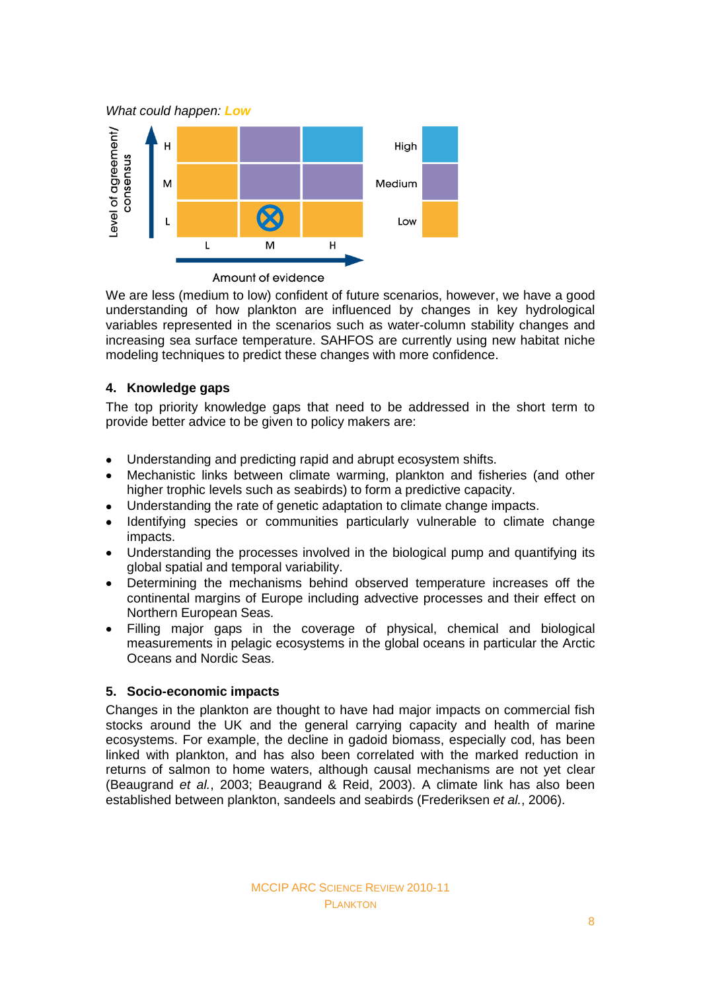*What could happen: Low*



Amount of evidence

We are less (medium to low) confident of future scenarios, however, we have a good understanding of how plankton are influenced by changes in key hydrological variables represented in the scenarios such as water-column stability changes and increasing sea surface temperature. SAHFOS are currently using new habitat niche modeling techniques to predict these changes with more confidence.

## **4. Knowledge gaps**

The top priority knowledge gaps that need to be addressed in the short term to provide better advice to be given to policy makers are:

- Understanding and predicting rapid and abrupt ecosystem shifts.  $\bullet$
- Mechanistic links between climate warming, plankton and fisheries (and other higher trophic levels such as seabirds) to form a predictive capacity.
- Understanding the rate of genetic adaptation to climate change impacts.  $\bullet$
- Identifying species or communities particularly vulnerable to climate change impacts.
- Understanding the processes involved in the biological pump and quantifying its  $\bullet$ global spatial and temporal variability.
- Determining the mechanisms behind observed temperature increases off the continental margins of Europe including advective processes and their effect on Northern European Seas.
- Filling major gaps in the coverage of physical, chemical and biological  $\bullet$ measurements in pelagic ecosystems in the global oceans in particular the Arctic Oceans and Nordic Seas.

## **5. Socio-economic impacts**

Changes in the plankton are thought to have had major impacts on commercial fish stocks around the UK and the general carrying capacity and health of marine ecosystems. For example, the decline in gadoid biomass, especially cod, has been linked with plankton, and has also been correlated with the marked reduction in returns of salmon to home waters, although causal mechanisms are not yet clear (Beaugrand *et al.*, 2003; Beaugrand & Reid, 2003). A climate link has also been established between plankton, sandeels and seabirds (Frederiksen *et al.*, 2006).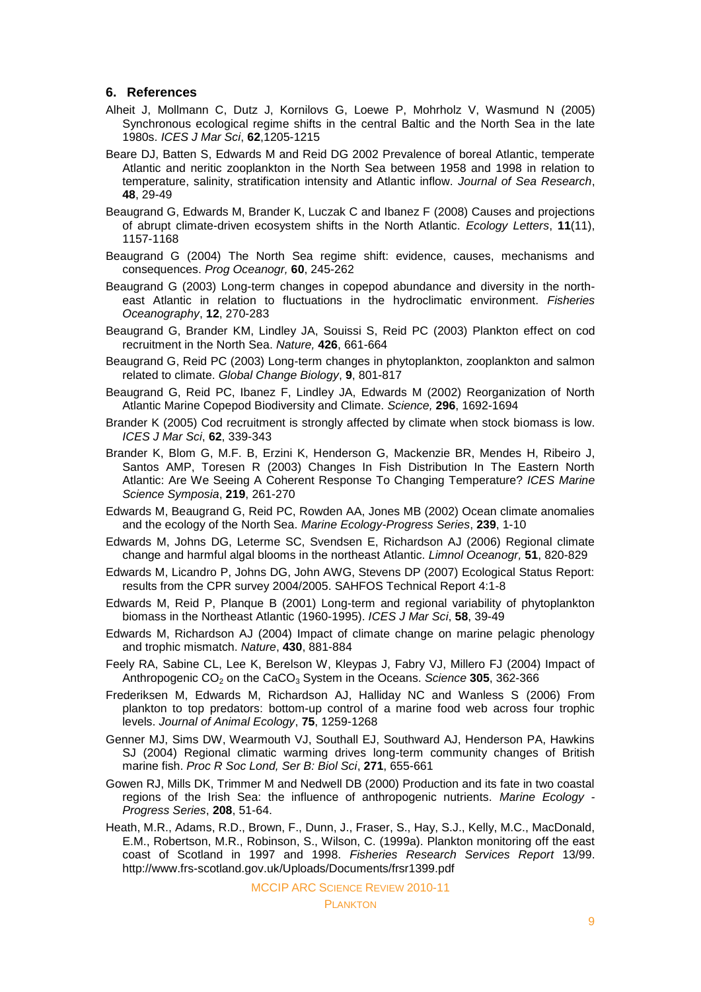### **6. References**

- Alheit J, Mollmann C, Dutz J, Kornilovs G, Loewe P, Mohrholz V, Wasmund N (2005) Synchronous ecological regime shifts in the central Baltic and the North Sea in the late 1980s. *ICES J Mar Sci*, **62**,1205-1215
- Beare DJ, Batten S, Edwards M and Reid DG 2002 Prevalence of boreal Atlantic, temperate Atlantic and neritic zooplankton in the North Sea between 1958 and 1998 in relation to temperature, salinity, stratification intensity and Atlantic inflow. *Journal of Sea Research*, **48**, 29-49
- Beaugrand G, Edwards M, Brander K, Luczak C and Ibanez F (2008) Causes and projections of abrupt climate-driven ecosystem shifts in the North Atlantic. *Ecology Letters*, **11**(11), 1157-1168
- Beaugrand G (2004) The North Sea regime shift: evidence, causes, mechanisms and consequences. *Prog Oceanogr,* **60**, 245-262
- Beaugrand G (2003) Long-term changes in copepod abundance and diversity in the northeast Atlantic in relation to fluctuations in the hydroclimatic environment. *Fisheries Oceanography*, **12**, 270-283
- Beaugrand G, Brander KM, Lindley JA, Souissi S, Reid PC (2003) Plankton effect on cod recruitment in the North Sea. *Nature,* **426**, 661-664
- Beaugrand G, Reid PC (2003) Long-term changes in phytoplankton, zooplankton and salmon related to climate. *Global Change Biology*, **9**, 801-817
- Beaugrand G, Reid PC, Ibanez F, Lindley JA, Edwards M (2002) Reorganization of North Atlantic Marine Copepod Biodiversity and Climate. *Science,* **296**, 1692-1694
- Brander K (2005) Cod recruitment is strongly affected by climate when stock biomass is low. *ICES J Mar Sci*, **62**, 339-343
- Brander K, Blom G, M.F. B, Erzini K, Henderson G, Mackenzie BR, Mendes H, Ribeiro J, Santos AMP, Toresen R (2003) Changes In Fish Distribution In The Eastern North Atlantic: Are We Seeing A Coherent Response To Changing Temperature? *ICES Marine Science Symposia*, **219**, 261-270
- Edwards M, Beaugrand G, Reid PC, Rowden AA, Jones MB (2002) Ocean climate anomalies and the ecology of the North Sea. *Marine Ecology-Progress Series*, **239**, 1-10
- Edwards M, Johns DG, Leterme SC, Svendsen E, Richardson AJ (2006) Regional climate change and harmful algal blooms in the northeast Atlantic. *Limnol Oceanogr,* **51**, 820-829
- Edwards M, Licandro P, Johns DG, John AWG, Stevens DP (2007) Ecological Status Report: results from the CPR survey 2004/2005. SAHFOS Technical Report 4:1-8
- Edwards M, Reid P, Planque B (2001) Long-term and regional variability of phytoplankton biomass in the Northeast Atlantic (1960-1995). *ICES J Mar Sci*, **58**, 39-49
- Edwards M, Richardson AJ (2004) Impact of climate change on marine pelagic phenology and trophic mismatch. *Nature*, **430**, 881-884
- Feely RA, Sabine CL, Lee K, Berelson W, Kleypas J, Fabry VJ, Millero FJ (2004) Impact of Anthropogenic CO<sub>2</sub> on the CaCO<sub>3</sub> System in the Oceans. *Science* 305, 362-366
- Frederiksen M, Edwards M, Richardson AJ, Halliday NC and Wanless S (2006) From plankton to top predators: bottom-up control of a marine food web across four trophic levels. *Journal of Animal Ecology*, **75**, 1259-1268
- Genner MJ, Sims DW, Wearmouth VJ, Southall EJ, Southward AJ, Henderson PA, Hawkins SJ (2004) Regional climatic warming drives long-term community changes of British marine fish. *Proc R Soc Lond, Ser B: Biol Sci*, **271**, 655-661
- Gowen RJ, Mills DK, Trimmer M and Nedwell DB (2000) Production and its fate in two coastal regions of the Irish Sea: the influence of anthropogenic nutrients. *Marine Ecology - Progress Series*, **208**, 51-64.
- Heath, M.R., Adams, R.D., Brown, F., Dunn, J., Fraser, S., Hay, S.J., Kelly, M.C., MacDonald, E.M., Robertson, M.R., Robinson, S., Wilson, C. (1999a). Plankton monitoring off the east coast of Scotland in 1997 and 1998. *Fisheries Research Services Report* 13/99. http://www.frs-scotland.gov.uk/Uploads/Documents/frsr1399.pdf

MCCIP ARC SCIENCE REVIEW 2010-11